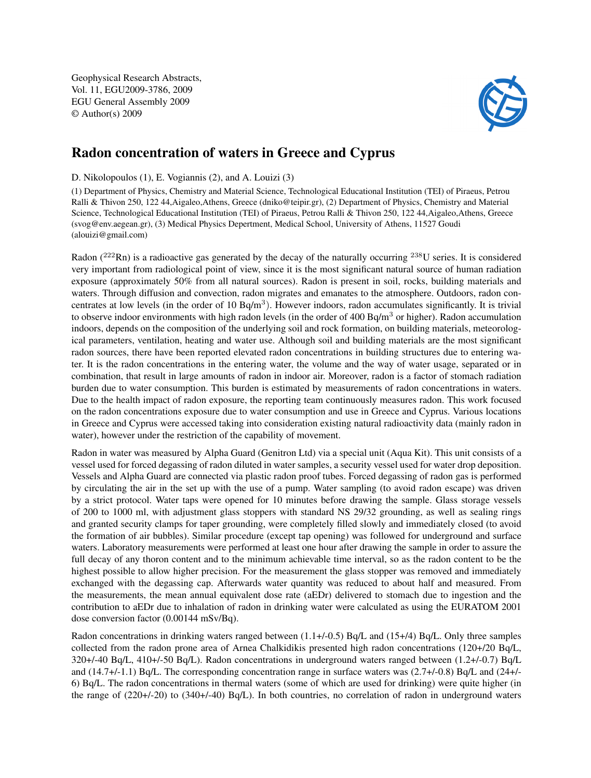Geophysical Research Abstracts, Vol. 11, EGU2009-3786, 2009 EGU General Assembly 2009 © Author(s) 2009



## Radon concentration of waters in Greece and Cyprus

D. Nikolopoulos (1), E. Vogiannis (2), and A. Louizi (3)

(1) Department of Physics, Chemistry and Material Science, Technological Educational Institution (TEI) of Piraeus, Petrou Ralli & Thivon 250, 122 44,Aigaleo,Athens, Greece (dniko@teipir.gr), (2) Department of Physics, Chemistry and Material Science, Technological Educational Institution (TEI) of Piraeus, Petrou Ralli & Thivon 250, 122 44,Aigaleo,Athens, Greece (svog@env.aegean.gr), (3) Medical Physics Depertment, Medical School, University of Athens, 11527 Goudi (alouizi@gmail.com)

Radon ( $^{222}$ Rn) is a radioactive gas generated by the decay of the naturally occurring  $^{238}$ U series. It is considered very important from radiological point of view, since it is the most significant natural source of human radiation exposure (approximately 50% from all natural sources). Radon is present in soil, rocks, building materials and waters. Through diffusion and convection, radon migrates and emanates to the atmosphere. Outdoors, radon concentrates at low levels (in the order of 10  $Bq/m<sup>3</sup>$ ). However indoors, radon accumulates significantly. It is trivial to observe indoor environments with high radon levels (in the order of  $400$  Bq/m<sup>3</sup> or higher). Radon accumulation indoors, depends on the composition of the underlying soil and rock formation, on building materials, meteorological parameters, ventilation, heating and water use. Although soil and building materials are the most significant radon sources, there have been reported elevated radon concentrations in building structures due to entering water. It is the radon concentrations in the entering water, the volume and the way of water usage, separated or in combination, that result in large amounts of radon in indoor air. Moreover, radon is a factor of stomach radiation burden due to water consumption. This burden is estimated by measurements of radon concentrations in waters. Due to the health impact of radon exposure, the reporting team continuously measures radon. This work focused on the radon concentrations exposure due to water consumption and use in Greece and Cyprus. Various locations in Greece and Cyprus were accessed taking into consideration existing natural radioactivity data (mainly radon in water), however under the restriction of the capability of movement.

Radon in water was measured by Alpha Guard (Genitron Ltd) via a special unit (Aqua Kit). This unit consists of a vessel used for forced degassing of radon diluted in water samples, a security vessel used for water drop deposition. Vessels and Alpha Guard are connected via plastic radon proof tubes. Forced degassing of radon gas is performed by circulating the air in the set up with the use of a pump. Water sampling (to avoid radon escape) was driven by a strict protocol. Water taps were opened for 10 minutes before drawing the sample. Glass storage vessels of 200 to 1000 ml, with adjustment glass stoppers with standard NS 29/32 grounding, as well as sealing rings and granted security clamps for taper grounding, were completely filled slowly and immediately closed (to avoid the formation of air bubbles). Similar procedure (except tap opening) was followed for underground and surface waters. Laboratory measurements were performed at least one hour after drawing the sample in order to assure the full decay of any thoron content and to the minimum achievable time interval, so as the radon content to be the highest possible to allow higher precision. For the measurement the glass stopper was removed and immediately exchanged with the degassing cap. Afterwards water quantity was reduced to about half and measured. From the measurements, the mean annual equivalent dose rate (aEDr) delivered to stomach due to ingestion and the contribution to aEDr due to inhalation of radon in drinking water were calculated as using the EURATOM 2001 dose conversion factor (0.00144 mSv/Bq).

Radon concentrations in drinking waters ranged between  $(1.1+/0.5)$  Bq/L and  $(15+/4)$  Bq/L. Only three samples collected from the radon prone area of Arnea Chalkidikis presented high radon concentrations (120+/20 Bq/L, 320+/-40 Bq/L, 410+/-50 Bq/L). Radon concentrations in underground waters ranged between (1.2+/-0.7) Bq/L and (14.7+/-1.1) Bq/L. The corresponding concentration range in surface waters was (2.7+/-0.8) Bq/L and (24+/- 6) Bq/L. The radon concentrations in thermal waters (some of which are used for drinking) were quite higher (in the range of (220+/-20) to (340+/-40) Bq/L). In both countries, no correlation of radon in underground waters